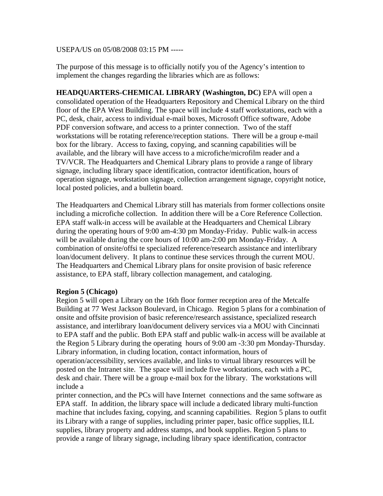## USEPA/US on 05/08/2008 03:15 PM -----

The purpose of this message is to officially notify you of the Agency's intention to implement the changes regarding the libraries which are as follows:

**HEADQUARTERS-CHEMICAL LIBRARY (Washington, DC)** EPA will open a consolidated operation of the Headquarters Repository and Chemical Library on the third floor of the EPA West Building. The space will include 4 staff workstations, each with a PC, desk, chair, access to individual e-mail boxes, Microsoft Office software, Adobe PDF conversion software, and access to a printer connection. Two of the staff workstations will be rotating reference/reception stations. There will be a group e-mail box for the library. Access to faxing, copying, and scanning capabilities will be available, and the library will have access to a microfiche/microfilm reader and a TV/VCR. The Headquarters and Chemical Library plans to provide a range of library signage, including library space identification, contractor identification, hours of operation signage, workstation signage, collection arrangement signage, copyright notice, local posted policies, and a bulletin board.

The Headquarters and Chemical Library still has materials from former collections onsite including a microfiche collection. In addition there will be a Core Reference Collection. EPA staff walk-in access will be available at the Headquarters and Chemical Library during the operating hours of 9:00 am-4:30 pm Monday-Friday. Public walk-in access will be available during the core hours of 10:00 am-2:00 pm Monday-Friday. A combination of onsite/offsi te specialized reference/research assistance and interlibrary loan/document delivery. It plans to continue these services through the current MOU. The Headquarters and Chemical Library plans for onsite provision of basic reference assistance, to EPA staff, library collection management, and cataloging.

## **Region 5 (Chicago)**

Region 5 will open a Library on the 16th floor former reception area of the Metcalfe Building at 77 West Jackson Boulevard, in Chicago. Region 5 plans for a combination of onsite and offsite provision of basic reference/research assistance, specialized research assistance, and interlibrary loan/document delivery services via a MOU with Cincinnati to EPA staff and the public. Both EPA staff and public walk-in access will be available at the Region 5 Library during the operating hours of 9:00 am -3:30 pm Monday-Thursday. Library information, in cluding location, contact information, hours of operation/accessibility, services available, and links to virtual library resources will be posted on the Intranet site. The space will include five workstations, each with a PC, desk and chair. There will be a group e-mail box for the library. The workstations will include a

printer connection, and the PCs will have Internet connections and the same software as EPA staff. In addition, the library space will include a dedicated library multi-function machine that includes faxing, copying, and scanning capabilities. Region 5 plans to outfit its Library with a range of supplies, including printer paper, basic office supplies, ILL supplies, library property and address stamps, and book supplies. Region 5 plans to provide a range of library signage, including library space identification, contractor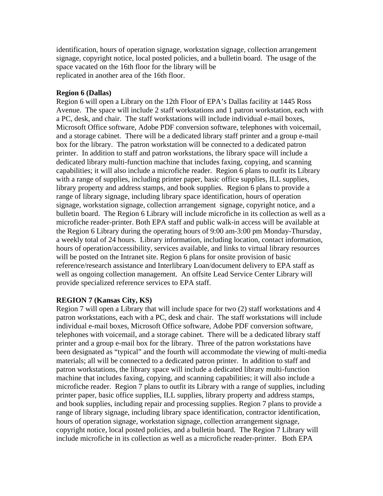identification, hours of operation signage, workstation signage, collection arrangement signage, copyright notice, local posted policies, and a bulletin board. The usage of the space vacated on the 16th floor for the library will be replicated in another area of the 16th floor.

## **Region 6 (Dallas)**

Region 6 will open a Library on the 12th Floor of EPA's Dallas facility at 1445 Ross Avenue. The space will include 2 staff workstations and 1 patron workstation, each with a PC, desk, and chair. The staff workstations will include individual e-mail boxes, Microsoft Office software, Adobe PDF conversion software, telephones with voicemail, and a storage cabinet. There will be a dedicated library staff printer and a group e-mail box for the library. The patron workstation will be connected to a dedicated patron printer. In addition to staff and patron workstations, the library space will include a dedicated library multi-function machine that includes faxing, copying, and scanning capabilities; it will also include a microfiche reader. Region 6 plans to outfit its Library with a range of supplies, including printer paper, basic office supplies, ILL supplies, library property and address stamps, and book supplies. Region 6 plans to provide a range of library signage, including library space identification, hours of operation signage, workstation signage, collection arrangement signage, copyright notice, and a bulletin board. The Region 6 Library will include microfiche in its collection as well as a microfiche reader-printer. Both EPA staff and public walk-in access will be available at the Region 6 Library during the operating hours of 9:00 am-3:00 pm Monday-Thursday, a weekly total of 24 hours. Library information, including location, contact information, hours of operation/accessibility, services available, and links to virtual library resources will be posted on the Intranet site. Region 6 plans for onsite provision of basic reference/research assistance and Interlibrary Loan/document delivery to EPA staff as well as ongoing collection management. An offsite Lead Service Center Library will provide specialized reference services to EPA staff.

## **REGION 7 (Kansas City, KS)**

Region 7 will open a Library that will include space for two (2) staff workstations and 4 patron workstations, each with a PC, desk and chair. The staff workstations will include individual e-mail boxes, Microsoft Office software, Adobe PDF conversion software, telephones with voicemail, and a storage cabinet. There will be a dedicated library staff printer and a group e-mail box for the library. Three of the patron workstations have been designated as "typical" and the fourth will accommodate the viewing of multi-media materials; all will be connected to a dedicated patron printer. In addition to staff and patron workstations, the library space will include a dedicated library multi-function machine that includes faxing, copying, and scanning capabilities; it will also include a microfiche reader. Region 7 plans to outfit its Library with a range of supplies, including printer paper, basic office supplies, ILL supplies, library property and address stamps, and book supplies, including repair and processing supplies. Region 7 plans to provide a range of library signage, including library space identification, contractor identification, hours of operation signage, workstation signage, collection arrangement signage, copyright notice, local posted policies, and a bulletin board. The Region 7 Library will include microfiche in its collection as well as a microfiche reader-printer. Both EPA